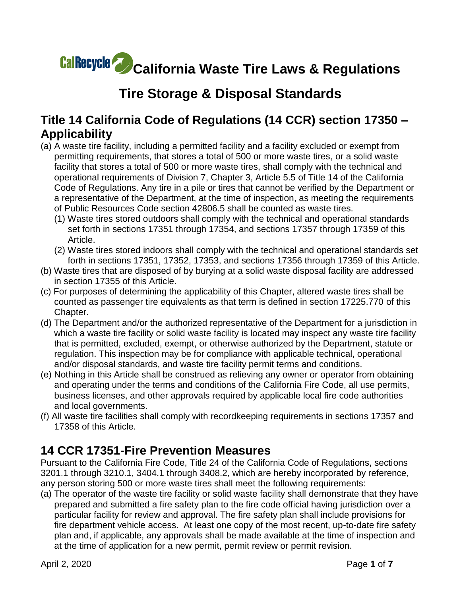# **California Waste Tire Laws & Regulations**

# **Tire Storage & Disposal Standards**

#### **Title 14 California Code of Regulations (14 CCR) section 17350 – Applicability**

- (a) A waste tire facility, including a permitted facility and a facility excluded or exempt from permitting requirements, that stores a total of 500 or more waste tires, or a solid waste facility that stores a total of 500 or more waste tires, shall comply with the technical and operational requirements of Division 7, Chapter 3, Article 5.5 of Title 14 of the California Code of Regulations. Any tire in a pile or tires that cannot be verified by the Department or a representative of the Department, at the time of inspection, as meeting the requirements of Public Resources Code section 42806.5 shall be counted as waste tires.
	- (1) Waste tires stored outdoors shall comply with the technical and operational standards set forth in sections 17351 through 17354, and sections 17357 through 17359 of this Article.
	- (2) Waste tires stored indoors shall comply with the technical and operational standards set forth in sections 17351, 17352, 17353, and sections 17356 through 17359 of this Article.
- (b) Waste tires that are disposed of by burying at a solid waste disposal facility are addressed in section 17355 of this Article.
- (c) For purposes of determining the applicability of this Chapter, altered waste tires shall be counted as passenger tire equivalents as that term is defined in section 17225.770 of this Chapter.
- (d) The Department and/or the authorized representative of the Department for a jurisdiction in which a waste tire facility or solid waste facility is located may inspect any waste tire facility that is permitted, excluded, exempt, or otherwise authorized by the Department, statute or regulation. This inspection may be for compliance with applicable technical, operational and/or disposal standards, and waste tire facility permit terms and conditions.
- (e) Nothing in this Article shall be construed as relieving any owner or operator from obtaining and operating under the terms and conditions of the California Fire Code, all use permits, business licenses, and other approvals required by applicable local fire code authorities and local governments.
- (f) All waste tire facilities shall comply with recordkeeping requirements in sections 17357 and 17358 of this Article.

#### **14 CCR 17351-Fire Prevention Measures**

Pursuant to the California Fire Code, Title 24 of the California Code of Regulations, sections 3201.1 through 3210.1, 3404.1 through 3408.2, which are hereby incorporated by reference, any person storing 500 or more waste tires shall meet the following requirements:

(a) The operator of the waste tire facility or solid waste facility shall demonstrate that they have prepared and submitted a fire safety plan to the fire code official having jurisdiction over a particular facility for review and approval. The fire safety plan shall include provisions for fire department vehicle access. At least one copy of the most recent, up-to-date fire safety plan and, if applicable, any approvals shall be made available at the time of inspection and at the time of application for a new permit, permit review or permit revision.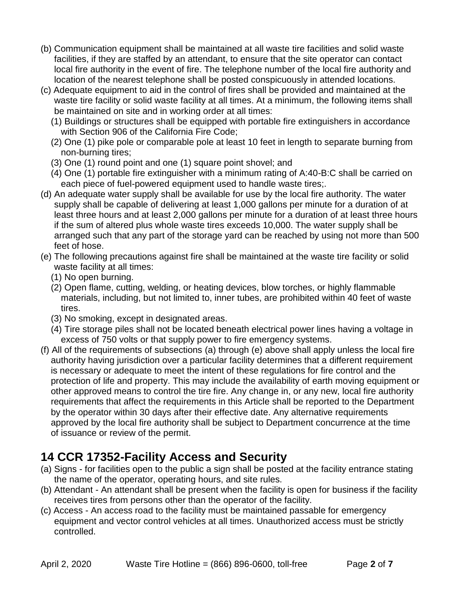- (b) Communication equipment shall be maintained at all waste tire facilities and solid waste facilities, if they are staffed by an attendant, to ensure that the site operator can contact local fire authority in the event of fire. The telephone number of the local fire authority and location of the nearest telephone shall be posted conspicuously in attended locations.
- (c) Adequate equipment to aid in the control of fires shall be provided and maintained at the waste tire facility or solid waste facility at all times. At a minimum, the following items shall be maintained on site and in working order at all times:
	- (1) Buildings or structures shall be equipped with portable fire extinguishers in accordance with Section 906 of the California Fire Code;
	- (2) One (1) pike pole or comparable pole at least 10 feet in length to separate burning from non-burning tires;
	- (3) One (1) round point and one (1) square point shovel; and
	- (4) One (1) portable fire extinguisher with a minimum rating of A:40-B:C shall be carried on each piece of fuel-powered equipment used to handle waste tires;.
- (d) An adequate water supply shall be available for use by the local fire authority. The water supply shall be capable of delivering at least 1,000 gallons per minute for a duration of at least three hours and at least 2,000 gallons per minute for a duration of at least three hours if the sum of altered plus whole waste tires exceeds 10,000. The water supply shall be arranged such that any part of the storage yard can be reached by using not more than 500 feet of hose.
- (e) The following precautions against fire shall be maintained at the waste tire facility or solid waste facility at all times:
	- (1) No open burning.
	- (2) Open flame, cutting, welding, or heating devices, blow torches, or highly flammable materials, including, but not limited to, inner tubes, are prohibited within 40 feet of waste tires.
	- (3) No smoking, except in designated areas.
	- (4) Tire storage piles shall not be located beneath electrical power lines having a voltage in excess of 750 volts or that supply power to fire emergency systems.
- (f) All of the requirements of subsections (a) through (e) above shall apply unless the local fire authority having jurisdiction over a particular facility determines that a different requirement is necessary or adequate to meet the intent of these regulations for fire control and the protection of life and property. This may include the availability of earth moving equipment or other approved means to control the tire fire. Any change in, or any new, local fire authority requirements that affect the requirements in this Article shall be reported to the Department by the operator within 30 days after their effective date. Any alternative requirements approved by the local fire authority shall be subject to Department concurrence at the time of issuance or review of the permit.

## **14 CCR 17352-Facility Access and Security**

- (a) Signs for facilities open to the public a sign shall be posted at the facility entrance stating the name of the operator, operating hours, and site rules.
- (b) Attendant An attendant shall be present when the facility is open for business if the facility receives tires from persons other than the operator of the facility.
- (c) Access An access road to the facility must be maintained passable for emergency equipment and vector control vehicles at all times. Unauthorized access must be strictly controlled.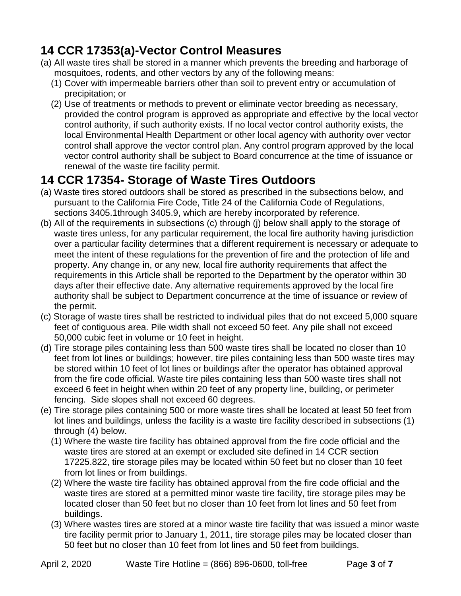## **14 CCR 17353(a)-Vector Control Measures**

- (a) All waste tires shall be stored in a manner which prevents the breeding and harborage of mosquitoes, rodents, and other vectors by any of the following means:
	- (1) Cover with impermeable barriers other than soil to prevent entry or accumulation of precipitation; or
	- (2) Use of treatments or methods to prevent or eliminate vector breeding as necessary, provided the control program is approved as appropriate and effective by the local vector control authority, if such authority exists. If no local vector control authority exists, the local Environmental Health Department or other local agency with authority over vector control shall approve the vector control plan. Any control program approved by the local vector control authority shall be subject to Board concurrence at the time of issuance or renewal of the waste tire facility permit.

## **14 CCR 17354- Storage of Waste Tires Outdoors**

- (a) Waste tires stored outdoors shall be stored as prescribed in the subsections below, and pursuant to the California Fire Code, Title 24 of the California Code of Regulations, sections 3405.1through 3405.9, which are hereby incorporated by reference.
- (b) All of the requirements in subsections (c) through (j) below shall apply to the storage of waste tires unless, for any particular requirement, the local fire authority having jurisdiction over a particular facility determines that a different requirement is necessary or adequate to meet the intent of these regulations for the prevention of fire and the protection of life and property. Any change in, or any new, local fire authority requirements that affect the requirements in this Article shall be reported to the Department by the operator within 30 days after their effective date. Any alternative requirements approved by the local fire authority shall be subject to Department concurrence at the time of issuance or review of the permit.
- (c) Storage of waste tires shall be restricted to individual piles that do not exceed 5,000 square feet of contiguous area. Pile width shall not exceed 50 feet. Any pile shall not exceed 50,000 cubic feet in volume or 10 feet in height.
- (d) Tire storage piles containing less than 500 waste tires shall be located no closer than 10 feet from lot lines or buildings; however, tire piles containing less than 500 waste tires may be stored within 10 feet of lot lines or buildings after the operator has obtained approval from the fire code official. Waste tire piles containing less than 500 waste tires shall not exceed 6 feet in height when within 20 feet of any property line, building, or perimeter fencing. Side slopes shall not exceed 60 degrees.
- (e) Tire storage piles containing 500 or more waste tires shall be located at least 50 feet from lot lines and buildings, unless the facility is a waste tire facility described in subsections (1) through (4) below.
	- (1) Where the waste tire facility has obtained approval from the fire code official and the waste tires are stored at an exempt or excluded site defined in 14 CCR section 17225.822, tire storage piles may be located within 50 feet but no closer than 10 feet from lot lines or from buildings.
	- (2) Where the waste tire facility has obtained approval from the fire code official and the waste tires are stored at a permitted minor waste tire facility, tire storage piles may be located closer than 50 feet but no closer than 10 feet from lot lines and 50 feet from buildings.
	- (3) Where wastes tires are stored at a minor waste tire facility that was issued a minor waste tire facility permit prior to January 1, 2011, tire storage piles may be located closer than 50 feet but no closer than 10 feet from lot lines and 50 feet from buildings.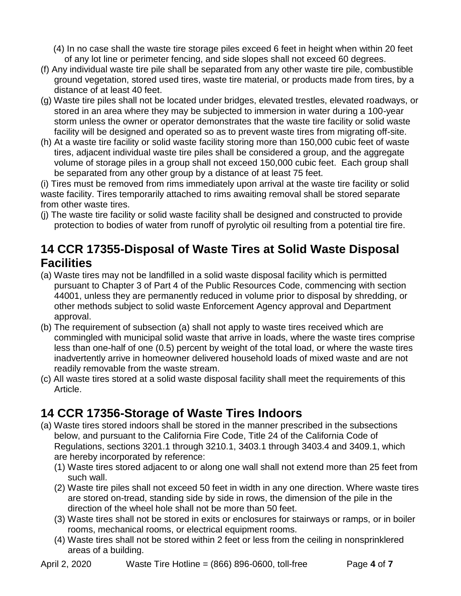(4) In no case shall the waste tire storage piles exceed 6 feet in height when within 20 feet of any lot line or perimeter fencing, and side slopes shall not exceed 60 degrees.

- (f) Any individual waste tire pile shall be separated from any other waste tire pile, combustible ground vegetation, stored used tires, waste tire material, or products made from tires, by a distance of at least 40 feet.
- (g) Waste tire piles shall not be located under bridges, elevated trestles, elevated roadways, or stored in an area where they may be subjected to immersion in water during a 100-year storm unless the owner or operator demonstrates that the waste tire facility or solid waste facility will be designed and operated so as to prevent waste tires from migrating off-site.
- (h) At a waste tire facility or solid waste facility storing more than 150,000 cubic feet of waste tires, adjacent individual waste tire piles shall be considered a group, and the aggregate volume of storage piles in a group shall not exceed 150,000 cubic feet. Each group shall be separated from any other group by a distance of at least 75 feet.

(i) Tires must be removed from rims immediately upon arrival at the waste tire facility or solid waste facility. Tires temporarily attached to rims awaiting removal shall be stored separate from other waste tires.

(j) The waste tire facility or solid waste facility shall be designed and constructed to provide protection to bodies of water from runoff of pyrolytic oil resulting from a potential tire fire.

#### **14 CCR 17355-Disposal of Waste Tires at Solid Waste Disposal Facilities**

- (a) Waste tires may not be landfilled in a solid waste disposal facility which is permitted pursuant to Chapter 3 of Part 4 of the Public Resources Code, commencing with section 44001, unless they are permanently reduced in volume prior to disposal by shredding, or other methods subject to solid waste Enforcement Agency approval and Department approval.
- (b) The requirement of subsection (a) shall not apply to waste tires received which are commingled with municipal solid waste that arrive in loads, where the waste tires comprise less than one-half of one (0.5) percent by weight of the total load, or where the waste tires inadvertently arrive in homeowner delivered household loads of mixed waste and are not readily removable from the waste stream.
- (c) All waste tires stored at a solid waste disposal facility shall meet the requirements of this Article.

### **14 CCR 17356-Storage of Waste Tires Indoors**

- (a) Waste tires stored indoors shall be stored in the manner prescribed in the subsections below, and pursuant to the California Fire Code, Title 24 of the California Code of Regulations, sections 3201.1 through 3210.1, 3403.1 through 3403.4 and 3409.1, which are hereby incorporated by reference:
	- (1) Waste tires stored adjacent to or along one wall shall not extend more than 25 feet from such wall.
	- (2) Waste tire piles shall not exceed 50 feet in width in any one direction. Where waste tires are stored on-tread, standing side by side in rows, the dimension of the pile in the direction of the wheel hole shall not be more than 50 feet.
	- (3) Waste tires shall not be stored in exits or enclosures for stairways or ramps, or in boiler rooms, mechanical rooms, or electrical equipment rooms.
	- (4) Waste tires shall not be stored within 2 feet or less from the ceiling in nonsprinklered areas of a building.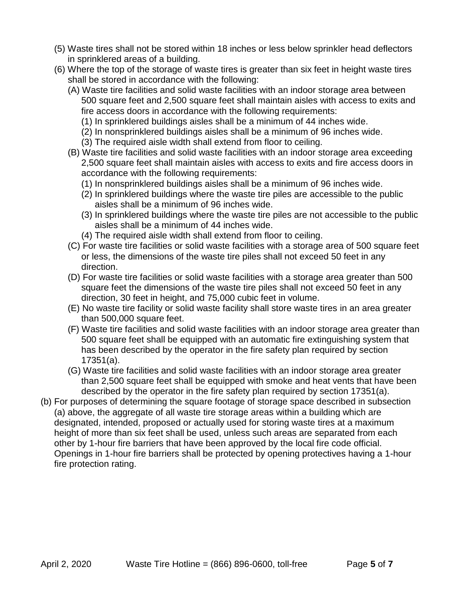- (5) Waste tires shall not be stored within 18 inches or less below sprinkler head deflectors in sprinklered areas of a building.
- (6) Where the top of the storage of waste tires is greater than six feet in height waste tires shall be stored in accordance with the following:
	- (A) Waste tire facilities and solid waste facilities with an indoor storage area between 500 square feet and 2,500 square feet shall maintain aisles with access to exits and fire access doors in accordance with the following requirements:
		- (1) In sprinklered buildings aisles shall be a minimum of 44 inches wide.
		- (2) In nonsprinklered buildings aisles shall be a minimum of 96 inches wide.
		- (3) The required aisle width shall extend from floor to ceiling.
	- (B) Waste tire facilities and solid waste facilities with an indoor storage area exceeding 2,500 square feet shall maintain aisles with access to exits and fire access doors in accordance with the following requirements:
		- (1) In nonsprinklered buildings aisles shall be a minimum of 96 inches wide.
		- (2) In sprinklered buildings where the waste tire piles are accessible to the public aisles shall be a minimum of 96 inches wide.
		- (3) In sprinklered buildings where the waste tire piles are not accessible to the public aisles shall be a minimum of 44 inches wide.
		- (4) The required aisle width shall extend from floor to ceiling.
	- (C) For waste tire facilities or solid waste facilities with a storage area of 500 square feet or less, the dimensions of the waste tire piles shall not exceed 50 feet in any direction.
	- (D) For waste tire facilities or solid waste facilities with a storage area greater than 500 square feet the dimensions of the waste tire piles shall not exceed 50 feet in any direction, 30 feet in height, and 75,000 cubic feet in volume.
	- (E) No waste tire facility or solid waste facility shall store waste tires in an area greater than 500,000 square feet.
	- (F) Waste tire facilities and solid waste facilities with an indoor storage area greater than 500 square feet shall be equipped with an automatic fire extinguishing system that has been described by the operator in the fire safety plan required by section 17351(a).
	- (G) Waste tire facilities and solid waste facilities with an indoor storage area greater than 2,500 square feet shall be equipped with smoke and heat vents that have been described by the operator in the fire safety plan required by section 17351(a).
- (b) For purposes of determining the square footage of storage space described in subsection (a) above, the aggregate of all waste tire storage areas within a building which are designated, intended, proposed or actually used for storing waste tires at a maximum height of more than six feet shall be used, unless such areas are separated from each other by 1-hour fire barriers that have been approved by the local fire code official. Openings in 1-hour fire barriers shall be protected by opening protectives having a 1-hour fire protection rating.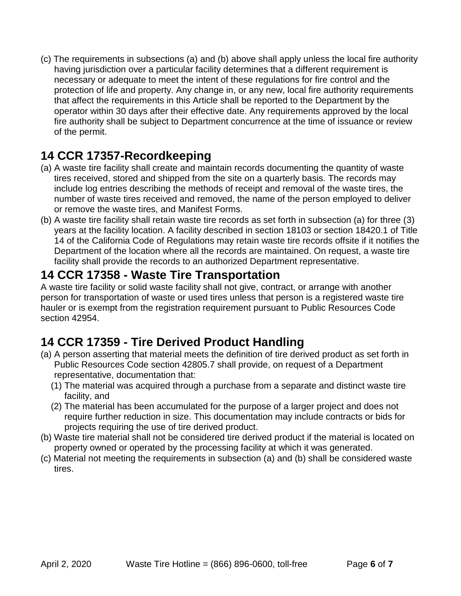(c) The requirements in subsections (a) and (b) above shall apply unless the local fire authority having jurisdiction over a particular facility determines that a different requirement is necessary or adequate to meet the intent of these regulations for fire control and the protection of life and property. Any change in, or any new, local fire authority requirements that affect the requirements in this Article shall be reported to the Department by the operator within 30 days after their effective date. Any requirements approved by the local fire authority shall be subject to Department concurrence at the time of issuance or review of the permit.

### **14 CCR 17357-Recordkeeping**

- (a) A waste tire facility shall create and maintain records documenting the quantity of waste tires received, stored and shipped from the site on a quarterly basis. The records may include log entries describing the methods of receipt and removal of the waste tires, the number of waste tires received and removed, the name of the person employed to deliver or remove the waste tires, and Manifest Forms.
- (b) A waste tire facility shall retain waste tire records as set forth in subsection (a) for three (3) years at the facility location. A facility described in section 18103 or section 18420.1 of Title 14 of the California Code of Regulations may retain waste tire records offsite if it notifies the Department of the location where all the records are maintained. On request, a waste tire facility shall provide the records to an authorized Department representative.

### **14 CCR 17358 - Waste Tire Transportation**

A waste tire facility or solid waste facility shall not give, contract, or arrange with another person for transportation of waste or used tires unless that person is a registered waste tire hauler or is exempt from the registration requirement pursuant to Public Resources Code section 42954.

## **14 CCR 17359 - Tire Derived Product Handling**

- (a) A person asserting that material meets the definition of tire derived product as set forth in Public Resources Code section 42805.7 shall provide, on request of a Department representative, documentation that:
	- (1) The material was acquired through a purchase from a separate and distinct waste tire facility, and
	- (2) The material has been accumulated for the purpose of a larger project and does not require further reduction in size. This documentation may include contracts or bids for projects requiring the use of tire derived product.
- (b) Waste tire material shall not be considered tire derived product if the material is located on property owned or operated by the processing facility at which it was generated*.*
- (c) Material not meeting the requirements in subsection (a) and (b) shall be considered waste tires.